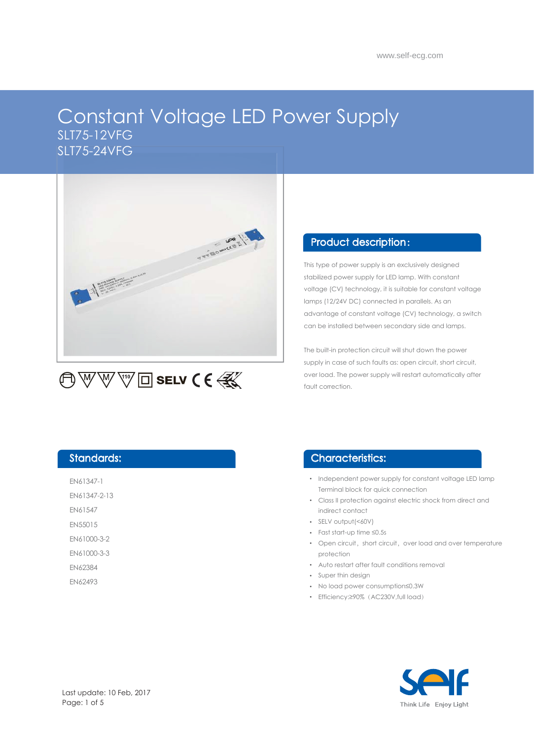# Constant Voltage LED Power Supply SLT75-12VFG SLT75-24VFG



### Product description :

This type of power supply is an exclusively designed stabilized power supply for LED lamp. With constant voltage (CV) technology, it is suitable for constant voltage lamps (12/24V DC) connected in parallels. As an advantage of constant voltage (CV) technology, a switch can be installed between secondary side and lamps.

The built-in protection circuit will shut down the power supply in case of such faults as: open circuit, short circuit, over load. The power supply will restart automatically after fault correction.

### Standards:

EN61347-1

EN61347-2-13

EN61547

EN55015

EN61000-3-2

EN61000-3-3

EN62384

EN62493

### Characteristics:

- Independent power supply for constant voltage LED lamp Terminal block for quick connection
- Class II protection against electric shock from direct and indirect contact
- SELV output(<60V)
- Fast start-up time ≤0.5s
- Open circuit, short circuit, over load and over temperature protection
- Auto restart after fault conditions removal
- Super thin design
- No load power consumption≤0.3W
- Efficiency:≥90%(AC230V,full load)

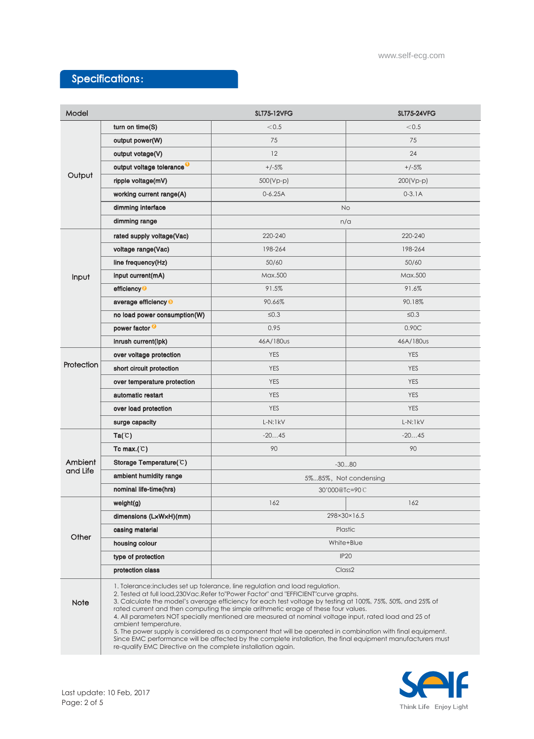## Specifications:

| Model               |                                                                                                                                                                                                                                                                                                                                                                                                                                                                                                                                                                                                                                                                                                                                           | <b>SLT75-12VFG</b>    | <b>SLT75-24VFG</b> |
|---------------------|-------------------------------------------------------------------------------------------------------------------------------------------------------------------------------------------------------------------------------------------------------------------------------------------------------------------------------------------------------------------------------------------------------------------------------------------------------------------------------------------------------------------------------------------------------------------------------------------------------------------------------------------------------------------------------------------------------------------------------------------|-----------------------|--------------------|
| Output              | turn on time(S)                                                                                                                                                                                                                                                                                                                                                                                                                                                                                                                                                                                                                                                                                                                           | < 0.5                 | < 0.5              |
|                     | output power(W)                                                                                                                                                                                                                                                                                                                                                                                                                                                                                                                                                                                                                                                                                                                           | 75                    | 75                 |
|                     | output votage(V)                                                                                                                                                                                                                                                                                                                                                                                                                                                                                                                                                                                                                                                                                                                          | 12                    | 24                 |
|                     | output voltage tolerance <sup>O</sup>                                                                                                                                                                                                                                                                                                                                                                                                                                                                                                                                                                                                                                                                                                     | $+/-5%$               | $+/-5%$            |
|                     | ripple voltage(mV)                                                                                                                                                                                                                                                                                                                                                                                                                                                                                                                                                                                                                                                                                                                        | 500(Vp-p)             | $200(Vp-p)$        |
|                     | working current range(A)                                                                                                                                                                                                                                                                                                                                                                                                                                                                                                                                                                                                                                                                                                                  | $0-6.25A$             | $0 - 3.1A$         |
|                     | dimming interface                                                                                                                                                                                                                                                                                                                                                                                                                                                                                                                                                                                                                                                                                                                         | <b>No</b>             |                    |
|                     | dimming range                                                                                                                                                                                                                                                                                                                                                                                                                                                                                                                                                                                                                                                                                                                             | n/a                   |                    |
| Input               | rated supply voltage(Vac)                                                                                                                                                                                                                                                                                                                                                                                                                                                                                                                                                                                                                                                                                                                 | 220-240               | 220-240            |
|                     | voltage range(Vac)                                                                                                                                                                                                                                                                                                                                                                                                                                                                                                                                                                                                                                                                                                                        | 198-264               | 198-264            |
|                     | line frequency(Hz)                                                                                                                                                                                                                                                                                                                                                                                                                                                                                                                                                                                                                                                                                                                        | 50/60                 | 50/60              |
|                     | input current(mA)                                                                                                                                                                                                                                                                                                                                                                                                                                                                                                                                                                                                                                                                                                                         | Max.500               | Max.500            |
|                     | efficiency <sup>2</sup>                                                                                                                                                                                                                                                                                                                                                                                                                                                                                                                                                                                                                                                                                                                   | 91.5%                 | 91.6%              |
|                     | average efficiency <sup>®</sup>                                                                                                                                                                                                                                                                                                                                                                                                                                                                                                                                                                                                                                                                                                           | 90.66%                | 90.18%             |
|                     | no load power consumption(W)                                                                                                                                                                                                                                                                                                                                                                                                                                                                                                                                                                                                                                                                                                              | $\leq 0.3$            | $\leq 0.3$         |
|                     | power factor <sup>2</sup>                                                                                                                                                                                                                                                                                                                                                                                                                                                                                                                                                                                                                                                                                                                 | 0.95                  | 0.90C              |
|                     | inrush current(lpk)                                                                                                                                                                                                                                                                                                                                                                                                                                                                                                                                                                                                                                                                                                                       | 46A/180us             | 46A/180us          |
| Protection          | over voltage protection                                                                                                                                                                                                                                                                                                                                                                                                                                                                                                                                                                                                                                                                                                                   | <b>YES</b>            | <b>YES</b>         |
|                     | short circuit protection                                                                                                                                                                                                                                                                                                                                                                                                                                                                                                                                                                                                                                                                                                                  | <b>YES</b>            | <b>YES</b>         |
|                     | over temperature protection                                                                                                                                                                                                                                                                                                                                                                                                                                                                                                                                                                                                                                                                                                               | <b>YES</b>            | <b>YES</b>         |
|                     | automatic restart                                                                                                                                                                                                                                                                                                                                                                                                                                                                                                                                                                                                                                                                                                                         | <b>YES</b>            | <b>YES</b>         |
|                     | over load protection                                                                                                                                                                                                                                                                                                                                                                                                                                                                                                                                                                                                                                                                                                                      | <b>YES</b>            | <b>YES</b>         |
|                     | surge capacity                                                                                                                                                                                                                                                                                                                                                                                                                                                                                                                                                                                                                                                                                                                            | $L-N:1kV$             | $L-N:1kV$          |
| Ambient<br>and Life | Ta(C)                                                                                                                                                                                                                                                                                                                                                                                                                                                                                                                                                                                                                                                                                                                                     | $-2045$               | $-2045$            |
|                     | Tc max.( $C$ )                                                                                                                                                                                                                                                                                                                                                                                                                                                                                                                                                                                                                                                                                                                            | 90                    | 90                 |
|                     | Storage Temperature(C)                                                                                                                                                                                                                                                                                                                                                                                                                                                                                                                                                                                                                                                                                                                    | $-3080$               |                    |
|                     | ambient humidity range                                                                                                                                                                                                                                                                                                                                                                                                                                                                                                                                                                                                                                                                                                                    | 5%85%, Not condensing |                    |
|                     | nominal life-time(hrs)                                                                                                                                                                                                                                                                                                                                                                                                                                                                                                                                                                                                                                                                                                                    | 30'000@Tc=90C         |                    |
| Other               | weight(g)                                                                                                                                                                                                                                                                                                                                                                                                                                                                                                                                                                                                                                                                                                                                 | 162                   | 162                |
|                     | dimensions (LxWxH)(mm)                                                                                                                                                                                                                                                                                                                                                                                                                                                                                                                                                                                                                                                                                                                    | 298×30×16.5           |                    |
|                     | casing material                                                                                                                                                                                                                                                                                                                                                                                                                                                                                                                                                                                                                                                                                                                           | Plastic               |                    |
|                     | housing colour                                                                                                                                                                                                                                                                                                                                                                                                                                                                                                                                                                                                                                                                                                                            | White+Blue            |                    |
|                     | type of protection                                                                                                                                                                                                                                                                                                                                                                                                                                                                                                                                                                                                                                                                                                                        | <b>IP20</b>           |                    |
|                     | protection class                                                                                                                                                                                                                                                                                                                                                                                                                                                                                                                                                                                                                                                                                                                          | Class <sub>2</sub>    |                    |
| <b>Note</b>         | 1. Tolerance: includes set up tolerance, line regulation and load regulation.<br>2. Tested at full load, 230Vac. Refer to "Power Factor" and "EFFICIENT" curve graphs.<br>3. Calculate the model's average efficiency for each test voltage by testing at 100%, 75%, 50%, and 25% of<br>rated current and then computing the simple arithmetic erage of these four values.<br>4. All parameters NOT specially mentioned are measured at nominal voltage input, rated load and 25 of<br>ambient temperature.<br>5. The power supply is considered as a component that will be operated in combination with final equipment.<br>Since EMC performance will be affected by the complete installation, the final equipment manufacturers must |                       |                    |
|                     | re-qualify EMC Directive on the complete installation again.                                                                                                                                                                                                                                                                                                                                                                                                                                                                                                                                                                                                                                                                              |                       |                    |

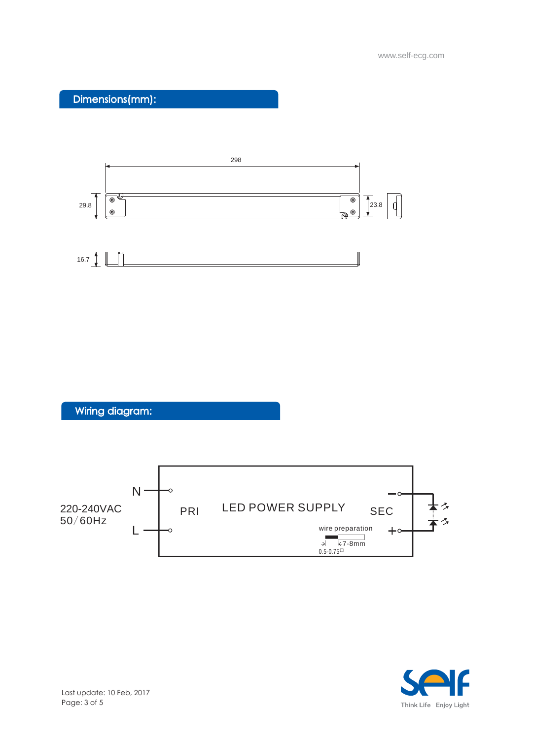Dimensions(mm):



Wiring diagram:



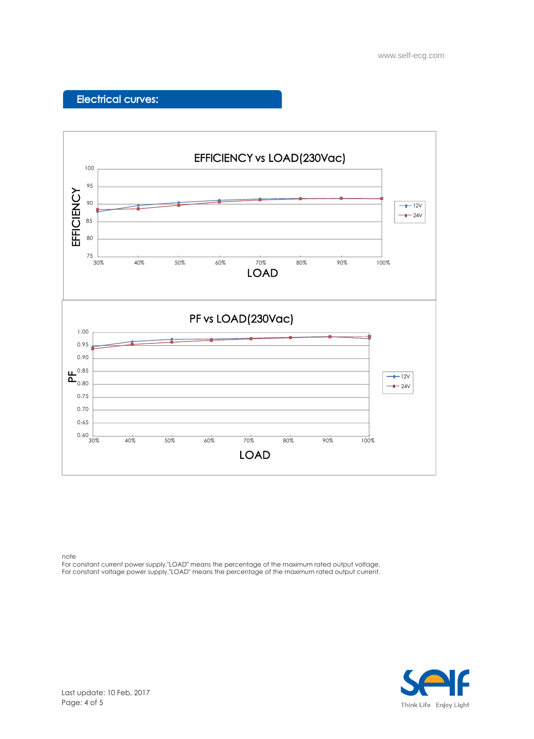## Electrical curves:



note

For constant current power supply,"LOAD" means the percentage of the maximum rated output voltage. For constant voltage power supply,"LOAD" means the percentage of the maximum rated output current.